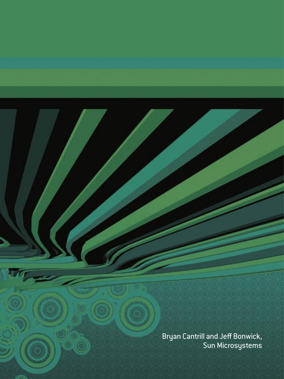Bryan Cantrill and Jeff Bonwick, Sun Microsystems

16 September 200

Гh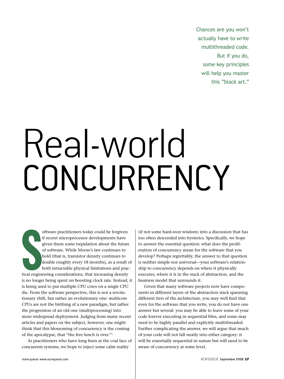Chances are you won't actually have to write multithreaded code. But if you do, some key principles will help you master this "black art."

# Real-world CONCURRENCY

Suite de la regine de la compte de la compte de la compte de la compte de la compte de la compte de la compte de la compte de la compte de la compte de la compte de la compte de la compte de la compte de la compte de la co oftware practitioners today could be forgiven if recent microprocessor developments have given them some trepidation about the future of software. While Moore's law continues to hold (that is, transistor density continues to double roughly every 18 months), as a result of both intractable physical limitations and practical engineering considerations, that increasing density is no longer being spent on boosting clock rate. Instead, it is being used to put multiple CPU cores on a single CPU die. From the software perspective, this is not a revolutionary shift, but rather an evolutionary one: multicore CPUs are not the birthing of a new paradigm, but rather the progression of an old one (multiprocessing) into more widespread deployment. Judging from many recent articles and papers on the subject, however, one might think that this blossoming of concurrency is the coming of the apocalypse, that "the free lunch is over."1

As practitioners who have long been at the coal face of concurrent systems, we hope to inject some calm reality

(if not some hard-won wisdom) into a discussion that has too often descended into hysterics. Specifically, we hope to answer the essential question: what does the proliferation of concurrency mean for the software that you develop? Perhaps regrettably, the answer to that question is neither simple nor universal—your software's relationship to concurrency depends on where it physically executes, where it is in the stack of abstraction, and the business model that surrounds it.

Given that many software projects now have components in different layers of the abstraction stack spanning different tiers of the architecture, you may well find that even for the software that you write, you do not have one answer but several: you may be able to leave some of your code forever executing in sequential bliss, and some may need to be highly parallel and explicitly multithreaded. Further complicating the answer, we will argue that much of your code will not fall neatly into either category: it will be essentially sequential in nature but will need to be aware of concurrency at some level.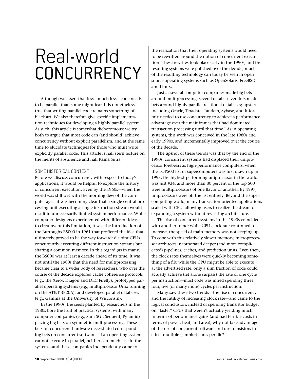Although we assert that less—much less—code needs to be parallel than some might fear, it is nonetheless true that writing parallel code remains something of a black art. We also therefore give specific implementation techniques for developing a highly parallel system. As such, this article is somewhat dichotomous: we try both to argue that most code can (and should) achieve concurrency without explicit parallelism, and at the same time to elucidate techniques for those who must write explicitly parallel code. This article is half stern lecture on the merits of abstinence and half Kama Sutra.

### SOME HISTORICAL CONTEXT

Before we discuss concurrency with respect to today's applications, it would be helpful to explore the history of concurrent execution. Even by the 1960s—when the world was still wet with the morning dew of the computer age—it was becoming clear that a single central processing unit executing a single instruction stream would result in unnecessarily limited system performance. While computer designers experimented with different ideas to circumvent this limitation, it was the introduction of the Burroughs B5000 in 1961 that proffered the idea that ultimately proved to be the way forward: disjoint CPUs concurrently executing different instruction streams but sharing a common memory. In this regard (as in many) the B5000 was at least a decade ahead of its time. It was not until the 1980s that the need for multiprocessing became clear to a wider body of researchers, who over the course of the decade explored cache coherence protocols (e.g., the Xerox Dragon and DEC Firefly), prototyped parallel operating systems (e.g., multiprocessor Unix running on the AT&T 3B20A), and developed parallel databases (e.g., Gamma at the University of Wisconsin).

In the 1990s, the seeds planted by researchers in the 1980s bore the fruit of practical systems, with many computer companies (e.g., Sun, SGI, Sequent, Pyramid) placing big bets on symmetric multiprocessing. These bets on concurrent hardware necessitated corresponding bets on concurrent software—if an operating system cannot execute in parallel, neither can much else in the system—and these companies independently came to

the realization that their operating systems would need to be rewritten around the notion of concurrent execution. These rewrites took place early in the 1990s, and the resulting systems were polished over the decade; much of the resulting technology can today be seen in open source operating systems such as OpenSolaris, FreeBSD, and Linux.

Just as several computer companies made big bets around multiprocessing, several database vendors made bets around highly parallel relational databases; upstarts including Oracle, Teradata, Tandem, Sybase, and Informix needed to use concurrency to achieve a performance advantage over the mainframes that had dominated transaction processing until that time.<sup>2</sup> As in operating systems, this work was conceived in the late 1980s and early 1990s, and incrementally improved over the course of the decade.

The upshot of these trends was that by the end of the 1990s, concurrent systems had displaced their uniprocessor forebears as high-performance computers: when the TOP500 list of supercomputers was first drawn up in 1993, the highest-performing uniprocessor in the world was just #34, and more than 80 percent of the top 500 were multiprocessors of one flavor or another. By 1997, uniprocessors were off the list entirely. Beyond the supercomputing world, many transaction-oriented applications scaled with CPU, allowing users to realize the dream of expanding a system without revisiting architecture.

The rise of concurrent systems in the 1990s coincided with another trend: while CPU clock rate continued to increase, the speed of main memory was not keeping up. To cope with this relatively slower memory, microprocessor architects incorporated deeper (and more complicated) pipelines, caches, and prediction units. Even then, the clock rates themselves were quickly becoming something of a fib: while the CPU might be able to execute at the advertised rate, only a slim fraction of code could actually achieve (let alone surpass) the rate of one cycle per instruction—most code was mired spending three, four, five (or many more) cycles per instruction.

Many saw these two trends—the rise of concurrency and the futility of increasing clock rate—and came to the logical conclusion: instead of spending transistor budget on "faster" CPUs that weren't actually yielding much in terms of performance gains (and had terrible costs in terms of power, heat, and area), why not take advantage of the rise of concurrent software and use transistors to effect multiple (simpler) cores per die?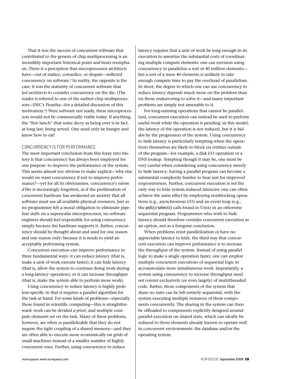That it was the success of concurrent software that contributed to the genesis of chip multiprocessing is an incredibly important historical point and bears reemphasis. There is a perception that microprocessor architects have—out of malice, cowardice, or despair—inflicted concurrency on software.3 In reality, the opposite is the case: it was the maturity of concurrent software that led architects to consider concurrency on the die. (The reader is referred to one of the earliest chip multiprocessors—DEC's Piranha—for a detailed discussion of this motivation.4 ) Were software not ready, these microprocessors would not be commercially viable today. If anything, the "free lunch" that some decry as being over is in fact, at long last, being served. One need only be hungry and know how to eat!

#### CONCURRENCY IS FOR PERFORMANCE

The most important conclusion from this foray into history is that concurrency has always been employed for one purpose: to improve the performance of the system. This seems almost too obvious to make explicit—why else would we want concurrency if not to improve performance?—yet for all its obviousness, concurrency's *raison d'être* is increasingly forgotten, as if the proliferation of concurrent hardware has awakened an anxiety that all software must use all available physical resources. Just as no programmer felt a moral obligation to eliminate pipeline stalls on a superscalar microprocessor, no software engineer should feel responsible for using concurrency simply because the hardware supports it. Rather, concurrency should be thought about and used for one reason and one reason only: because it is needs to yield an acceptably performing system.

Concurrent execution can improve performance in three fundamental ways: it can reduce latency (that is, make a unit of work execute faster); it can hide latency (that is, allow the system to continue doing work during a long-latency operation); or it can increase throughput (that is, make the system able to perform more work).

Using concurrency to reduce latency is highly problem-specific in that it requires a parallel algorithm for the task at hand. For some kinds of problems—especially those found in scientific computing—this is straightforward: work can be divided *a priori*, and multiple compute elements set on the task. Many of these problems, however, are often *so* parallelizable that they do not require the tight coupling of a shared memory—and they are often able to execute more economically on grids of small machines instead of a smaller number of highly concurrent ones. Further, using concurrency to reduce

latency requires that a unit of work be long enough in its execution to amortize the substantial costs of coordinating multiple compute elements: one can envision using concurrency to parallelize a sort of 40 million elements but a sort of a mere 40 elements is unlikely to take enough compute time to pay the overhead of parallelism. In short, the degree to which one can use concurrency to reduce latency depends much more on the problem than on those endeavoring to solve it—and many important problems are simply not amenable to it.

For long-running operations that cannot be parallelized, concurrent execution can instead be used to perform useful work while the operation is pending; in this model, the latency of the operation is not reduced, but it is *hidden* by the progression of the system. Using concurrency to hide latency is particularly tempting when the operations themselves are likely to block on entities outside of the program—for example, a disk I/O operation or a DNS lookup. Tempting though it may be, one must be very careful when considering using concurrency merely to hide latency: having a parallel program can become a substantial complexity burden to bear just for improved responsiveness. Further, concurrent execution is *not* the only way to hide system-induced latencies: one can often achieve the same effect by employing nonblocking operations (e.g., asynchronous I/O) and an event loop (e.g., the poll()/select() calls found in Unix) in an otherwise sequential program. Programmers who wish to hide latency should therefore consider concurrent execution as an option, not as a foregone conclusion.

When problems resist parallelization or have no appreciable latency to hide, the third way that concurrent execution can improve performance is to increase the throughput of the system. Instead of using parallel logic to make a single operation faster, one can employ multiple concurrent executions of sequential logic to accommodate more simultaneous work. Importantly, a system using concurrency to increase throughput need *not* consist exclusively (or even largely) of multithreaded code. Rather, those components of the system that share no state can be left entirely sequential, with the system executing multiple instances of these components concurrently. The sharing in the system can then be offloaded to components explicitly designed around parallel execution on shared state, which can ideally be reduced to those elements already known to operate well in concurrent environments: the database and/or the operating system.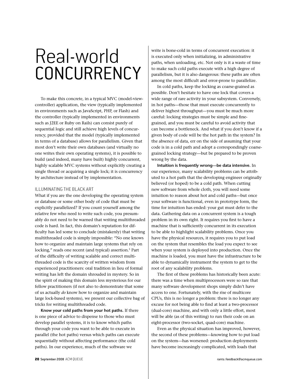To make this concrete, in a typical MVC (model-viewcontroller) application, the view (typically implemented in environments such as JavaScript, PHP, or Flash) and the controller (typically implemented in environments such as J2EE or Ruby on Rails) can consist purely of sequential logic and still achieve high levels of concurrency, provided that the model (typically implemented in terms of a database) allows for parallelism. Given that most don't write their own databases (and virtually no one writes their own operating systems), it is possible to build (and indeed, many have built) highly concurrent, highly scalable MVC systems without explicitly creating a single thread or acquiring a single lock; it is concurrency by architecture instead of by implementation.

#### ILLUMINATING THE BLACK ART

What if you are the one developing the operating system or database or some other body of code that must be explicitly parallelized? If you count yourself among the relative few who need to write such code, you presumably do not need to be warned that writing multithreaded code is hard. In fact, this domain's reputation for difficulty has led some to conclude (mistakenly) that writing multithreaded code is simply impossible: "No one knows how to organize and maintain large systems that rely on locking," reads one recent (and typical) assertion.<sup>5</sup> Part of the difficulty of writing scalable and correct multithreaded code is the scarcity of written wisdom from experienced practitioners: oral tradition in lieu of formal writing has left the domain shrouded in mystery. So in the spirit of making this domain less mysterious for our fellow practitioners (if not also to demonstrate that some of us actually *do* know how to organize and maintain large lock-based systems), we present our collective bag of tricks for writing multithreaded code.

**Know your cold paths from your hot paths.** If there is one piece of advice to dispense to those who must develop parallel systems, it is to know which paths through your code you want to be able to execute in parallel (the hot paths) versus which paths can execute sequentially without affecting performance (the cold paths). In our experience, much of the software we

write is bone-cold in terms of concurrent execution: it is executed only when initializing, in administrative paths, when unloading, etc. Not only is it a waste of time to make such cold paths execute with a high degree of parallelism, but it is also dangerous: these paths are often among the most difficult and error-prone to parallelize.

In cold paths, keep the locking as coarse-grained as possible. Don't hesitate to have one lock that covers a wide range of rare activity in your subsystem. Conversely, in hot paths—those that must execute concurrently to deliver highest throughput—you must be much more careful: locking strategies must be simple and finegrained, and you must be careful to avoid activity that can become a bottleneck. And what if you don't know if a given body of code will be the hot path in the system? In the absence of data, err on the side of assuming that your code is in a cold path and adopt a correspondingly coarsegrained locking strategy—but be prepared to be proven wrong by the data.

**Intuition is frequently wrong—be data intensive.** In our experience, many scalability problems can be attributed to a hot path that the developing engineer originally believed (or hoped) to be a cold path. When cutting new software from whole cloth, you will need some intuition to reason about hot and cold paths—but once your software is functional, even in prototype form, the time for intuition has ended: your gut must defer to the data. Gathering data on a concurrent system is a tough problem in its own right. It requires you first to have a machine that is sufficiently concurrent in its execution to be able to highlight scalability problems. Once you have the physical resources, it requires you to put load on the system that resembles the load you expect to see when your system is deployed into production. Once the machine is loaded, you must have the infrastructure to be able to dynamically instrument the system to get to the root of any scalability problems.

The first of these problems has historically been acute: there was a time when multiprocessors were so rare that many software development shops simply didn't have access to one. Fortunately, with the rise of multicore CPUs, this is no longer a problem: there is no longer any excuse for not being able to find at least a two-processor (dual-core) machine, and with only a little effort, most will be able (as of this writing) to run their code on an eight-processor (two-socket, quad-core) machine.

Even as the physical situation has improved, however, the second of these problems—knowing how to put load on the system—has worsened: production deployments have become increasingly complicated, with loads that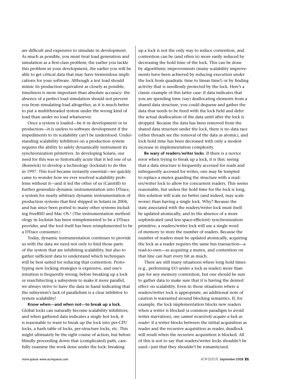are difficult and expensive to simulate in development. As much as possible, you must treat load generation and simulation as a first-class problem; the earlier you tackle this problem in your development, the earlier you will be able to get critical data that may have tremendous implications for your software. Although a test load should mimic its production equivalent as closely as possible, timeliness is more important than absolute accuracy: the absence of a perfect load simulation should not prevent you from simulating load altogether, as it is much better to put a multithreaded system under the wrong kind of load than under no load whatsoever.

Once a system is loaded—be it in development or in production—it is useless to software development if the impediments to its scalability can't be understood. Understanding scalability inhibitors on a production system requires the ability to safely dynamically instrument its synchronization primitives. In developing Solaris, our need for this was so historically acute that it led one of us (Bonwick) to develop a technology (lockstat) to do this in 1997. This tool became instantly essential—we quickly came to wonder how we ever resolved scalability problems without it—and it led the other of us (Cantrill) to further generalize dynamic instrumentation into DTrace, a system for nearly arbitrary dynamic instrumentation of production systems that first shipped in Solaris in 2004, and has since been ported to many other systems including FreeBSD and Mac OS.<sup>6</sup> (The instrumentation methodology in lockstat has been reimplemented to be a DTrace provider, and the tool itself has been reimplemented to be a DTrace consumer.)

Today, dynamic instrumentation continues to provide us with the data we need not only to find those parts of the system that are inhibiting scalability, but also to gather sufficient data to understand which techniques will be best suited for reducing that contention. Prototyping new locking strategies is expensive, and one's intuition is frequently wrong; before breaking up a lock or rearchitecting a subsystem to make it more parallel, we always strive to have the data in hand indicating that the subsystem's lack of parallelism is a clear inhibitor to system scalability!

**Know when—and when not—to break up a lock.**  Global locks can naturally become scalability inhibitors, and when gathered data indicates a single hot lock, it is reasonable to want to break up the lock into per-CPU locks, a hash table of locks, per-structure locks, etc. This might ultimately be the right course of action, but before blindly proceeding down that (complicated) path, carefully examine the work done under the lock: breaking

up a lock is not the only way to reduce contention, and contention can be (and often is) more easily reduced by decreasing the hold time of the lock. This can be done by algorithmic improvements (many scalability improvements have been achieved by reducing execution under the lock from quadratic time to linear time!) or by finding activity that is needlessly protected by the lock. Here's a classic example of this latter case: if data indicates that you are spending time (say) deallocating elements from a shared data structure, you could dequeue and gather the data that needs to be freed with the lock held and defer the actual deallocation of the data until after the lock is dropped. Because the data has been removed from the shared data structure under the lock, there is no data race (other threads see the removal of the data as atomic), and lock hold time has been decreased with only a modest increase in implementation complexity.

**Be wary of readers/writer locks**. If there is a novice error when trying to break up a lock, it is this: seeing that a data structure is frequently accessed for reads and infrequently accessed for writes, one may be tempted to replace a mutex guarding the structure with a readers/writer lock to allow for concurrent readers. This seems reasonable, but unless the hold time for the lock is long, this solution will scale no better (and indeed, may scale worse) than having a single lock. Why? Because the state associated with the readers/writer lock must itself be updated atomically, and in the absence of a more sophisticated (and less space-efficient) synchronization primitive, a readers/writer lock will use a single word of memory to store the number of readers. Because the number of readers must be updated atomically, acquiring the lock as a reader requires the same bus transaction—a read-to-own—as acquiring a mutex, and contention on that line can hurt every bit as much.

There are still many situations where long hold times (e.g., performing I/O under a lock as reader) more than pay for any memory contention, but one should be sure to gather data to make sure that it is having the desired effect on scalability. Even in those situations where a readers/writer lock is appropriate, an additional note of caution is warranted around blocking semantics. If, for example, the lock implementation blocks new readers when a writer is blocked (a common paradigm to avoid writer starvation), *one cannot recursively acquire a lock as reader*: if a writer blocks between the initial acquisition as reader and the recursive acquisition as reader, deadlock will result when the recursive acquisition is blocked. All of this is not to say that readers/writer locks shouldn't be used—just that they shouldn't be romanticized.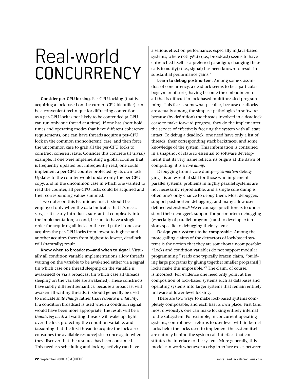**Consider per-CPU locking**. Per-CPU locking (that is, acquiring a lock based on the current CPU identifier) can be a convenient technique for diffracting contention, as a per-CPU lock is not likely to be contended (a CPU can run only one thread at a time). If one has short hold times and operating modes that have different coherence requirements, one can have threads acquire a per-CPU lock in the common (noncoherent) case, and then force the uncommon case to grab all the per-CPU locks to construct coherent state. Consider this concrete (if trivial) example: if one were implementing a global counter that is frequently updated but infrequently read, one could implement a per-CPU counter protected by its own lock. Updates to the counter would update only the per-CPU copy, and in the uncommon case in which one wanted to read the counter, all per-CPU locks could be acquired and their corresponding values summed.

Two notes on this technique: first, it should be employed only when the data indicates that it's necessary, as it clearly introduces substantial complexity into the implementation; second, be sure to have a single order for acquiring all locks in the cold path: if one case acquires the per-CPU locks from lowest to highest and another acquires them from highest to lowest, deadlock will (naturally) result.

**Know when to broadcast—and when to signal.** Virtually all condition variable implementations allow threads waiting on the variable to be awakened either via a signal (in which case one thread sleeping on the variable is awakened) or via a broadcast (in which case all threads sleeping on the variable are awakened). These constructs have subtly different semantics: because a broadcast will awaken all waiting threads, it should generally be used to indicate *state change* rather than *resource availability.* If a condition broadcast is used when a condition signal would have been more appropriate, the result will be a *thundering herd*: all waiting threads will wake up, fight over the lock protecting the condition variable, and (assuming that the first thread to acquire the lock also consumes the available resource) sleep once again when they discover that the resource has been consumed. This needless scheduling and locking activity can have

a serious effect on performance, especially in Java-based systems, where notifyAll() (i.e., broadcast) seems to have entrenched itself as a preferred paradigm; changing these calls to notify() (i.e., signal) has been known to result in substantial performance gains.<sup>7</sup>

**Learn to debug postmortem***.* Among some Cassandras of concurrency, a deadlock seems to be a particular bogeyman of sorts, having become the embodiment of all that is difficult in lock-based multithreaded programming. This fear is somewhat peculiar, because deadlocks are actually among the simplest pathologies in software: because (by definition) the threads involved in a deadlock cease to make forward progress, they do the implementer the service of effectively freezing the system with all state intact. To debug a deadlock, one need have only a list of threads, their corresponding stack backtraces, and some knowledge of the system. This information is contained in a snapshot of state so essential to software development that its very name reflects its origins at the dawn of computing: it is a *core dump*.

Debugging from a core dump—*postmortem* debugging—is an essential skill for those who implement parallel systems: problems in highly parallel systems are not necessarily reproducible, and a single core dump is often one's only chance to debug them. Most debuggers support postmortem debugging, and many allow userdefined extensions.8 We encourage practitioners to understand their debugger's support for postmortem debugging (especially of parallel programs) and to develop extensions specific to debugging their systems.

**Design your systems to be composable***.* Among the more galling claims of the detractors of lock-based systems is the notion that they are somehow uncomposable: "Locks and condition variables do not support modular programming," reads one typically brazen claim, "building large programs by gluing together smaller programs[:] locks make this impossible."<sup>9</sup> The claim, of course, is incorrect. For evidence one need only point at the composition of lock-based systems such as databases and operating systems into larger systems that remain entirely unaware of lower-level locking.

There are two ways to make lock-based systems completely composable, and each has its own place. First (and most obviously), one can make locking entirely internal to the subsystem. For example, in concurrent operating systems, control never returns to user level with in-kernel locks held; the locks used to implement the system itself are entirely behind the system call interface that constitutes the interface to the system. More generally, this model can work whenever a crisp interface exists between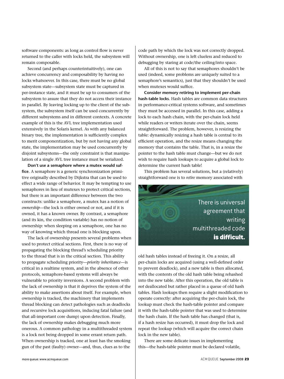software components: as long as control flow is never returned to the caller with locks held, the subsystem will remain composable.

Second (and perhaps counterintuitively), one can achieve concurrency and composability by having no locks whatsoever. In this case, there must be no global subsystem state—subsystem state must be captured in per-instance state, and it must be up to consumers of the subsystem to assure that they do not access their instance in parallel. By leaving locking up to the client of the subsystem, the subsystem itself can be used concurrently by different subsystems and in different contexts. A concrete example of this is the AVL tree implementation used extensively in the Solaris kernel. As with any balanced binary tree, the implementation is sufficiently complex to merit componentization, but by not having any global state, the implementation may be used concurrently by disjoint subsystems—the only constraint is that manipulation of a single AVL tree instance must be serialized.

**Don't use a semaphore where a mutex would suffice***.* A semaphore is a generic synchronization primitive originally described by Dijkstra that can be used to effect a wide range of behavior. It may be tempting to use semaphores in lieu of mutexes to protect critical sections, but there is an important difference between the two constructs: unlike a semaphore, a mutex has a notion of *ownership*—the lock is either owned or not, and if it is owned, it has a known owner. By contrast, a semaphore (and its kin, the condition variable) has no notion of ownership: when sleeping on a semaphore, one has no way of knowing which thread one is blocking upon.

The lack of ownership presents several problems when used to protect critical sections. First, there is no way of propagating the blocking thread's scheduling priority to the thread that is in the critical section. This ability to propagate scheduling priority—*priority inheritance*—is critical in a realtime system, and in the absence of other protocols, semaphore-based systems will always be vulnerable to priority inversions. A second problem with the lack of ownership is that it deprives the system of the ability to make assertions about itself. For example, when ownership is tracked, the machinery that implements thread blocking can detect pathologies such as deadlocks and recursive lock acquisitions, inducing fatal failure (and that all-important core dump) upon detection. Finally, the lack of ownership makes debugging much more onerous. A common pathology in a multithreaded system is a lock not being dropped in some errant return path. When ownership is tracked, one at least has the smoking gun of the past (faulty) owner—and, thus, clues as to the

code path by which the lock was not correctly dropped. Without ownership, one is left clueless and reduced to debugging by staring at code/the ceiling/into space.

All of this is not to say that semaphores shouldn't be used (indeed, some problems are uniquely suited to a semaphore's semantics), just that they shouldn't be used when mutexes would suffice.

**Consider memory retiring to implement per-chain hash-table locks***.* Hash tables are common data structures in performance-critical systems software, and sometimes they must be accessed in parallel. In this case, adding a lock to each hash chain, with the per-chain lock held while readers or writers iterate over the chain, seems straightforward. The problem, however, is resizing the table: dynamically resizing a hash table is central to its efficient operation, and the resize means changing the memory that contains the table. That is, in a resize the pointer to the hash table must change—but we do not wish to require hash lookups to acquire a global lock to determine the current hash table!

This problem has several solutions, but a (relatively) straightforward one is to *retire* memory associated with



old hash tables instead of freeing it. On a resize, all per-chain locks are acquired (using a well-defined order to prevent deadlock), and a new table is then allocated, with the contents of the old hash table being rehashed into the new table. After this operation, the old table is *not* deallocated but rather placed in a queue of old hash tables. Hash lookups then require a slight modification to operate correctly: after acquiring the per-chain lock, the lookup must check the hash-table pointer and compare it with the hash-table pointer that was used to determine the hash chain. If the hash table has changed (that is, if a hash resize has occurred), it must drop the lock and repeat the lookup (which will acquire the correct chain lock in the new table).

There are some delicate issues in implementing this—the hash-table pointer must be declared volatile,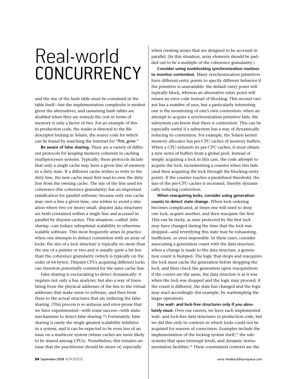and the size of the hash table must be contained in the table itself—but the implementation complexity is modest given the alternatives, and (assuming hash tables are doubled when they are resized) the cost in terms of memory is only a factor of two. For an example of this in production code, the reader is directed to the file descriptor locking in Solaris, the source code for which can be found by searching the Internet for "flist\_grow."

**Be aware of false sharing.** There are a variety of different protocols for keeping memory coherent in caching multiprocessor systems. Typically, these protocols dictate that only a single cache may have a given line of memory in a dirty state. If a different cache wishes to write to the dirty line, the new cache must first read-to-own the dirty line from the owning cache. The size of the line used for coherence (the coherence granularity) has an important ramification for parallel software: because only one cache may own a line a given time, one wishes to avoid a situation where two (or more) small, disjoint data structures are both contained within a single line *and* accessed in parallel by disjoint caches. This situation—called *false sharing*—can induce suboptimal scalability in otherwise scalable software. This most frequently arises in practice when one attempts to defract contention with an array of locks: the size of a lock structure is typically no more than the size of a pointer or two and is usually quite a bit less than the coherence granularity (which is typically on the order of 64 bytes). Disjoint CPUs acquiring different locks can therefore potentially contend for the same cache line.

False sharing is excruciating to detect dynamically: it requires not only a bus analyzer, but also a way of translating from the physical addresses of the bus to the virtual addresses that make sense to software, and then from there to the actual structures that are inducing the false sharing. (This process is so arduous and error-prone that we have experimented—with some success—with static mechanisms to detect false sharing.10) Fortunately, false sharing is rarely the single greatest scalability inhibitor in a system, and it can be expected to be even less of an issue on a multicore system (where caches are more likely to be shared among CPUs). Nonetheless, this remains an issue that the practitioner should be aware of, especially

when creating arrays that are designed to be accessed in parallel. (In this situation, array elements should be padded out to be a multiple of the coherence granularity.)

**Consider using nonblocking synchronization routines to monitor contention***.* Many synchronization primitives have different entry points to specify different behavior if the primitive is unavailable: the default entry point will typically block, whereas an alternative entry point will return an error code instead of blocking. This second variant has a number of uses, but a particularly interesting one is the monitoring of one's own contention: when an attempt to acquire a synchronization primitive fails, the subsystem can know that there is contention. This can be especially useful if a subsystem has a way of dynamically reducing its contention. For example, the Solaris kernel memory allocator has per-CPU caches of memory buffers. When a CPU exhausts its per-CPU caches, it must obtain a new series of buffers from a global pool. Instead of simply acquiring a lock in this case, the code *attempts* to acquire the lock, incrementing a counter when this fails (and then acquiring the lock through the blocking entry point). If the counter reaches a predefined threshold, the size of the per-CPU caches is increased, thereby dynamically reducing contention.

**When reacquiring locks, consider using generation counts to detect state change***.* When lock ordering becomes complicated, at times one will need to drop one lock, acquire another, and then reacquire the first. This can be tricky, as state protected by the first lock may have changed during the time that the lock was dropped—and reverifying this state may be exhausting, inefficient, or even impossible. In these cases, consider associating a generation count with the data structure; when a change is made to the data structure, a generation count is bumped. The logic that drops and reacquires the lock must cache the generation before dropping the lock, and then check the generation upon reacquisition: if the counts are the same, the data structure is as it was when the lock was dropped and the logic may proceed; if the count is different, the state has changed and the logic may react accordingly (for example, by reattempting the larger operation).

**Use wait- and lock-free structures only if you absolutely must.** Over our careers, we have each implemented wait- and lock-free data structures in production code, but we did this only in contexts in which locks could not be acquired for reasons of correctness. Examples include the implementation of the locking system itself, $^{11}$  the subsystems that span interrupt levels, and dynamic instrumentation facilities.<sup>12</sup> These constrained contexts are the